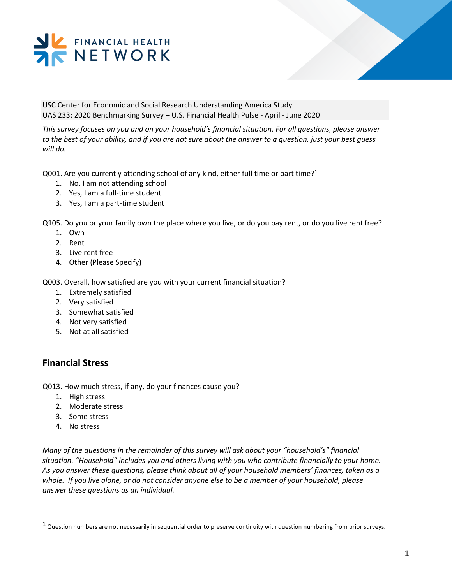

USC Center for Economic and Social Research Understanding America Study UAS 233: 2020 Benchmarking Survey – U.S. Financial Health Pulse - April - June 2020

*This survey focuses on you and on your household's financial situation. For all questions, please answer to the best of your ability, and if you are not sure about the answer to a question, just your best guess will do.* 

Q001. Are you currently attending school of any kind, either full time or part time?<sup>1</sup>

- 1. No, I am not attending school
- 2. Yes, I am a full-time student
- 3. Yes, I am a part-time student

Q105. Do you or your family own the place where you live, or do you pay rent, or do you live rent free?

- 1. Own
- 2. Rent
- 3. Live rent free
- 4. Other (Please Specify)

Q003. Overall, how satisfied are you with your current financial situation?

- 1. Extremely satisfied
- 2. Very satisfied
- 3. Somewhat satisfied
- 4. Not very satisfied
- 5. Not at all satisfied

## **Financial Stress**

Q013. How much stress, if any, do your finances cause you?

- 1. High stress
- 2. Moderate stress
- 3. Some stress
- 4. No stress

l

*Many of the questions in the remainder of this survey will ask about your "household's" financial situation. "Household" includes you and others living with you who contribute financially to your home. As you answer these questions, please think about all of your household members' finances, taken as a whole. If you live alone, or do not consider anyone else to be a member of your household, please answer these questions as an individual.* 

 $1$  Question numbers are not necessarily in sequential order to preserve continuity with question numbering from prior surveys.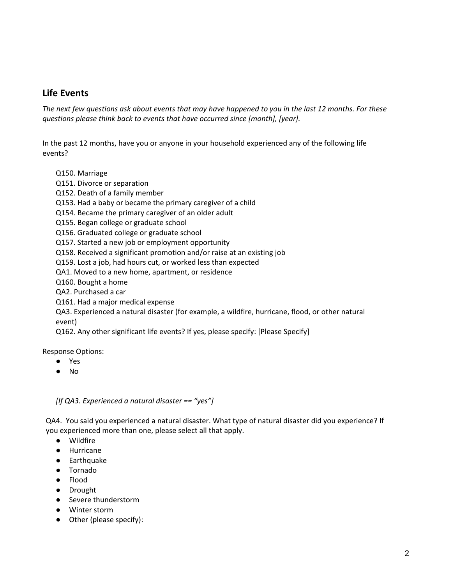# **Life Events**

*The next few questions ask about events that may have happened to you in the last 12 months. For these questions please think back to events that have occurred since [month], [year].* 

In the past 12 months, have you or anyone in your household experienced any of the following life events?

- Q150. Marriage
- Q151. Divorce or separation
- Q152. Death of a family member
- Q153. Had a baby or became the primary caregiver of a child
- Q154. Became the primary caregiver of an older adult
- Q155. Began college or graduate school
- Q156. Graduated college or graduate school
- Q157. Started a new job or employment opportunity
- Q158. Received a significant promotion and/or raise at an existing job
- Q159. Lost a job, had hours cut, or worked less than expected
- QA1. Moved to a new home, apartment, or residence
- Q160. Bought a home
- QA2. Purchased a car
- Q161. Had a major medical expense
- QA3. Experienced a natural disaster (for example, a wildfire, hurricane, flood, or other natural event)
- Q162. Any other significant life events? If yes, please specify: [Please Specify]

Response Options:

- Yes
- No

*[If QA3. Experienced a natural disaster == "yes"]*

QA4. You said you experienced a natural disaster. What type of natural disaster did you experience? If you experienced more than one, please select all that apply.

- Wildfire
- Hurricane
- Earthquake
- Tornado
- Flood
- Drought
- Severe thunderstorm
- Winter storm
- Other (please specify):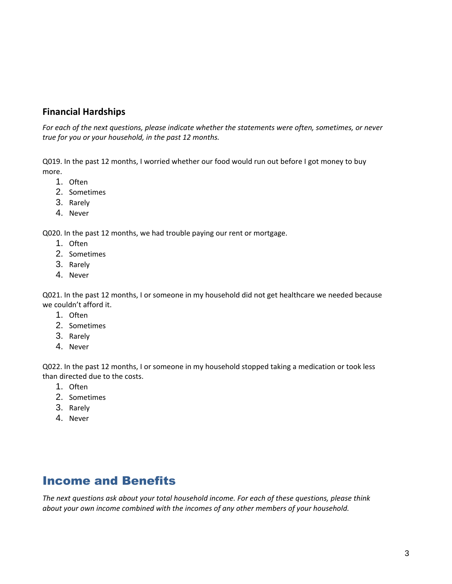# **Financial Hardships**

*For each of the next questions, please indicate whether the statements were often, sometimes, or never true for you or your household, in the past 12 months.*

Q019. In the past 12 months, I worried whether our food would run out before I got money to buy more.

- 1. Often
- 2. Sometimes
- 3. Rarely
- 4. Never

Q020. In the past 12 months, we had trouble paying our rent or mortgage.

- 1. Often
- 2. Sometimes
- 3. Rarely
- 4. Never

Q021. In the past 12 months, I or someone in my household did not get healthcare we needed because we couldn't afford it.

- 1. Often
- 2. Sometimes
- 3. Rarely
- 4. Never

Q022. In the past 12 months, I or someone in my household stopped taking a medication or took less than directed due to the costs.

- 1. Often
- 2. Sometimes
- 3. Rarely
- 4. Never

# Income and Benefits

*The next questions ask about your total household income. For each of these questions, please think about your own income combined with the incomes of any other members of your household.*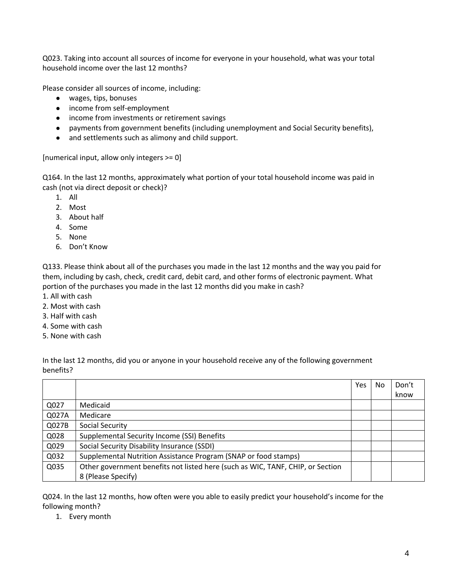Q023. Taking into account all sources of income for everyone in your household, what was your total household income over the last 12 months?

Please consider all sources of income, including:

- wages, tips, bonuses
- income from self-employment
- income from investments or retirement savings
- payments from government benefits (including unemployment and Social Security benefits),
- and settlements such as alimony and child support.

[numerical input, allow only integers >= 0]

Q164. In the last 12 months, approximately what portion of your total household income was paid in cash (not via direct deposit or check)?

- 1. All
- 2. Most
- 3. About half
- 4. Some
- 5. None
- 6. Don't Know

Q133. Please think about all of the purchases you made in the last 12 months and the way you paid for them, including by cash, check, credit card, debit card, and other forms of electronic payment. What portion of the purchases you made in the last 12 months did you make in cash?

- 1. All with cash
- 2. Most with cash
- 3. Half with cash
- 4. Some with cash
- 5. None with cash

In the last 12 months, did you or anyone in your household receive any of the following government benefits?

|       |                                                                                | Yes | No. | Don't |
|-------|--------------------------------------------------------------------------------|-----|-----|-------|
|       |                                                                                |     |     | know  |
| Q027  | Medicaid                                                                       |     |     |       |
| Q027A | Medicare                                                                       |     |     |       |
| Q027B | Social Security                                                                |     |     |       |
| Q028  | Supplemental Security Income (SSI) Benefits                                    |     |     |       |
| Q029  | Social Security Disability Insurance (SSDI)                                    |     |     |       |
| Q032  | Supplemental Nutrition Assistance Program (SNAP or food stamps)                |     |     |       |
| Q035  | Other government benefits not listed here (such as WIC, TANF, CHIP, or Section |     |     |       |
|       | 8 (Please Specify)                                                             |     |     |       |

Q024. In the last 12 months, how often were you able to easily predict your household's income for the following month?

1. Every month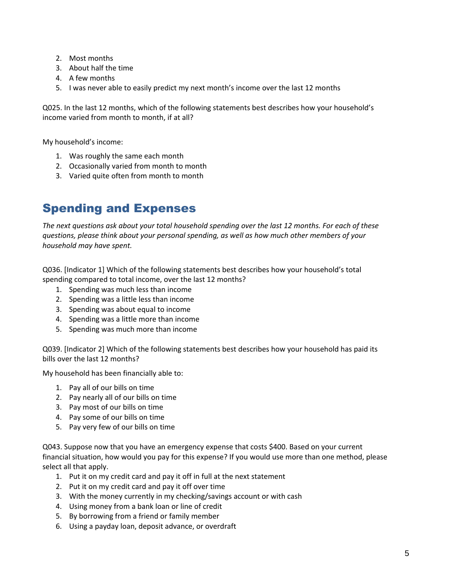- 2. Most months
- 3. About half the time
- 4. A few months
- 5. I was never able to easily predict my next month's income over the last 12 months

Q025. In the last 12 months, which of the following statements best describes how your household's income varied from month to month, if at all?

My household's income:

- 1. Was roughly the same each month
- 2. Occasionally varied from month to month
- 3. Varied quite often from month to month

# Spending and Expenses

*The next questions ask about your total household spending over the last 12 months. For each of these questions, please think about your personal spending, as well as how much other members of your household may have spent.* 

Q036. [Indicator 1] Which of the following statements best describes how your household's total spending compared to total income, over the last 12 months?

- 1. Spending was much less than income
- 2. Spending was a little less than income
- 3. Spending was about equal to income
- 4. Spending was a little more than income
- 5. Spending was much more than income

Q039. [Indicator 2] Which of the following statements best describes how your household has paid its bills over the last 12 months?

My household has been financially able to:

- 1. Pay all of our bills on time
- 2. Pay nearly all of our bills on time
- 3. Pay most of our bills on time
- 4. Pay some of our bills on time
- 5. Pay very few of our bills on time

Q043. Suppose now that you have an emergency expense that costs \$400. Based on your current financial situation, how would you pay for this expense? If you would use more than one method, please select all that apply.

- 1. Put it on my credit card and pay it off in full at the next statement
- 2. Put it on my credit card and pay it off over time
- 3. With the money currently in my checking/savings account or with cash
- 4. Using money from a bank loan or line of credit
- 5. By borrowing from a friend or family member
- 6. Using a payday loan, deposit advance, or overdraft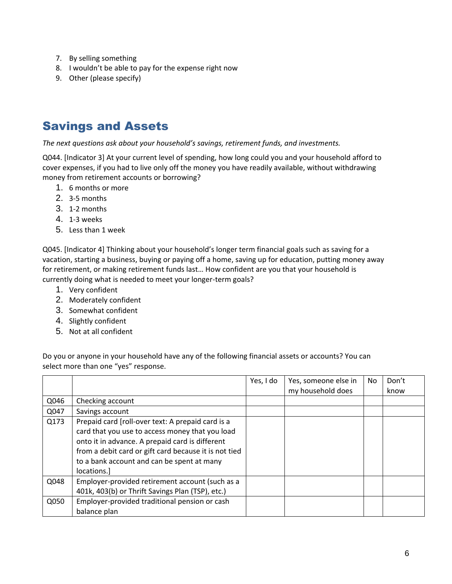- 7. By selling something
- 8. I wouldn't be able to pay for the expense right now
- 9. Other (please specify)

# Savings and Assets

*The next questions ask about your household's savings, retirement funds, and investments.* 

Q044. [Indicator 3] At your current level of spending, how long could you and your household afford to cover expenses, if you had to live only off the money you have readily available, without withdrawing money from retirement accounts or borrowing?

- 1. 6 months or more
- 2. 3-5 months
- 3. 1-2 months
- 4. 1-3 weeks
- 5. Less than 1 week

Q045. [Indicator 4] Thinking about your household's longer term financial goals such as saving for a vacation, starting a business, buying or paying off a home, saving up for education, putting money away for retirement, or making retirement funds last… How confident are you that your household is currently doing what is needed to meet your longer-term goals?

- 1. Very confident
- 2. Moderately confident
- 3. Somewhat confident
- 4. Slightly confident
- 5. Not at all confident

Do you or anyone in your household have any of the following financial assets or accounts? You can select more than one "yes" response.

|      |                                                                                                                                                                                                                                                                               | Yes, I do | Yes, someone else in<br>my household does | No | Don't<br>know |
|------|-------------------------------------------------------------------------------------------------------------------------------------------------------------------------------------------------------------------------------------------------------------------------------|-----------|-------------------------------------------|----|---------------|
| Q046 | Checking account                                                                                                                                                                                                                                                              |           |                                           |    |               |
| Q047 | Savings account                                                                                                                                                                                                                                                               |           |                                           |    |               |
| Q173 | Prepaid card [roll-over text: A prepaid card is a<br>card that you use to access money that you load<br>onto it in advance. A prepaid card is different<br>from a debit card or gift card because it is not tied<br>to a bank account and can be spent at many<br>locations.] |           |                                           |    |               |
| Q048 | Employer-provided retirement account (such as a<br>401k, 403(b) or Thrift Savings Plan (TSP), etc.)                                                                                                                                                                           |           |                                           |    |               |
| Q050 | Employer-provided traditional pension or cash<br>balance plan                                                                                                                                                                                                                 |           |                                           |    |               |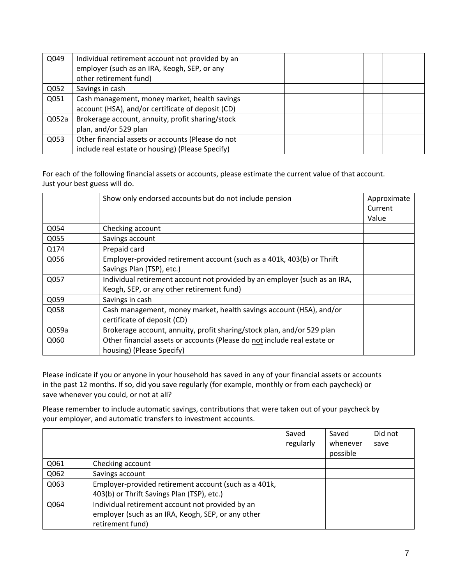| Q049  | Individual retirement account not provided by an<br>employer (such as an IRA, Keogh, SEP, or any<br>other retirement fund) |  |  |
|-------|----------------------------------------------------------------------------------------------------------------------------|--|--|
| Q052  | Savings in cash                                                                                                            |  |  |
| Q051  | Cash management, money market, health savings<br>account (HSA), and/or certificate of deposit (CD)                         |  |  |
| Q052a | Brokerage account, annuity, profit sharing/stock                                                                           |  |  |
|       | plan, and/or 529 plan                                                                                                      |  |  |
| Q053  | Other financial assets or accounts (Please do not                                                                          |  |  |
|       | include real estate or housing) (Please Specify)                                                                           |  |  |

For each of the following financial assets or accounts, please estimate the current value of that account. Just your best guess will do.

|       | Show only endorsed accounts but do not include pension                     | Approximate |
|-------|----------------------------------------------------------------------------|-------------|
|       |                                                                            | Current     |
|       |                                                                            | Value       |
| Q054  | Checking account                                                           |             |
| Q055  | Savings account                                                            |             |
| Q174  | Prepaid card                                                               |             |
| Q056  | Employer-provided retirement account (such as a 401k, 403(b) or Thrift     |             |
|       | Savings Plan (TSP), etc.)                                                  |             |
| Q057  | Individual retirement account not provided by an employer (such as an IRA, |             |
|       | Keogh, SEP, or any other retirement fund)                                  |             |
| Q059  | Savings in cash                                                            |             |
| Q058  | Cash management, money market, health savings account (HSA), and/or        |             |
|       | certificate of deposit (CD)                                                |             |
| Q059a | Brokerage account, annuity, profit sharing/stock plan, and/or 529 plan     |             |
| Q060  | Other financial assets or accounts (Please do not include real estate or   |             |
|       | housing) (Please Specify)                                                  |             |

Please indicate if you or anyone in your household has saved in any of your financial assets or accounts in the past 12 months. If so, did you save regularly (for example, monthly or from each paycheck) or save whenever you could, or not at all?

Please remember to include automatic savings, contributions that were taken out of your paycheck by your employer, and automatic transfers to investment accounts.

|      |                                                                                                     | Saved<br>regularly | Saved<br>whenever<br>possible | Did not<br>save |
|------|-----------------------------------------------------------------------------------------------------|--------------------|-------------------------------|-----------------|
| Q061 | Checking account                                                                                    |                    |                               |                 |
| Q062 | Savings account                                                                                     |                    |                               |                 |
| Q063 | Employer-provided retirement account (such as a 401k,<br>403(b) or Thrift Savings Plan (TSP), etc.) |                    |                               |                 |
| Q064 | Individual retirement account not provided by an                                                    |                    |                               |                 |
|      | employer (such as an IRA, Keogh, SEP, or any other<br>retirement fund)                              |                    |                               |                 |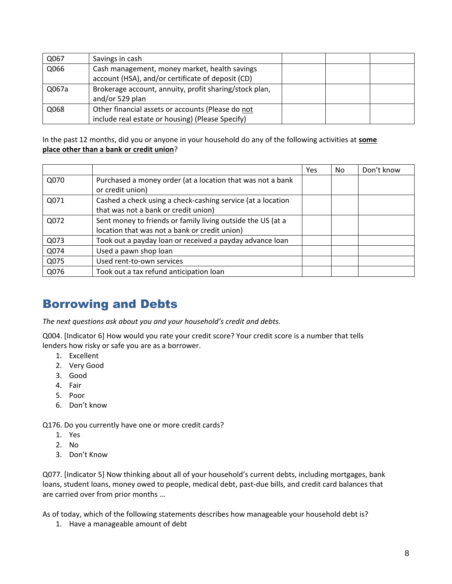| Q067  | Savings in cash                                        |  |  |
|-------|--------------------------------------------------------|--|--|
| Q066  | Cash management, money market, health savings          |  |  |
|       | account (HSA), and/or certificate of deposit (CD)      |  |  |
| Q067a | Brokerage account, annuity, profit sharing/stock plan, |  |  |
|       | and/or 529 plan                                        |  |  |
| Q068  | Other financial assets or accounts (Please do not      |  |  |
|       | include real estate or housing) (Please Specify)       |  |  |

In the past 12 months, did you or anyone in your household do any of the following activities at **some place other than a bank or credit union**?

|      |                                                                                                              | Yes | No | Don't know |
|------|--------------------------------------------------------------------------------------------------------------|-----|----|------------|
| Q070 | Purchased a money order (at a location that was not a bank<br>or credit union)                               |     |    |            |
| Q071 | Cashed a check using a check-cashing service (at a location<br>that was not a bank or credit union)          |     |    |            |
| Q072 | Sent money to friends or family living outside the US (at a<br>location that was not a bank or credit union) |     |    |            |
| Q073 | Took out a payday loan or received a payday advance loan                                                     |     |    |            |
| Q074 | Used a pawn shop loan                                                                                        |     |    |            |
| Q075 | Used rent-to-own services                                                                                    |     |    |            |
| Q076 | Took out a tax refund anticipation loan                                                                      |     |    |            |

# Borrowing and Debts

*The next questions ask about you and your household's credit and debts.*

Q004. [Indicator 6] How would you rate your credit score? Your credit score is a number that tells lenders how risky or safe you are as a borrower.

- 1. Excellent
- 2. Very Good
- 3. Good
- 4. Fair
- 5. Poor
- 6. Don't know

Q176. Do you currently have one or more credit cards?

- 1. Yes
- 2. No
- 3. Don't Know

Q077. [Indicator 5] Now thinking about all of your household's current debts, including mortgages, bank loans, student loans, money owed to people, medical debt, past-due bills, and credit card balances that are carried over from prior months …

As of today, which of the following statements describes how manageable your household debt is?

1. Have a manageable amount of debt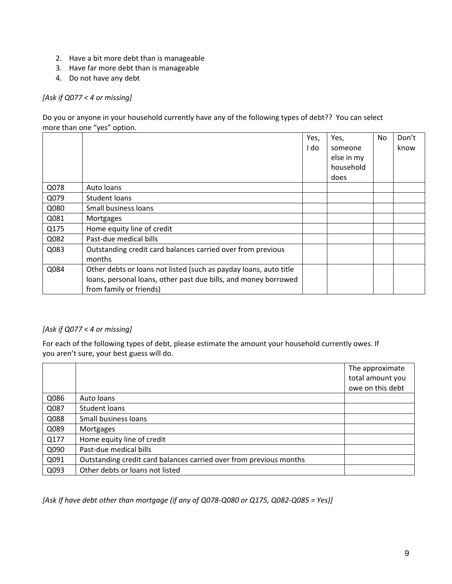- 2. Have a bit more debt than is manageable
- 3. Have far more debt than is manageable
- 4. Do not have any debt

#### *[Ask if Q077 < 4 or missing]*

Do you or anyone in your household currently have any of the following types of debt?? You can select more than one "yes" option.

|      |                                                                                                                                                                 | Yes,<br>I do | Yes,<br>someone<br>else in my<br>household<br>does | No | Don't<br>know |
|------|-----------------------------------------------------------------------------------------------------------------------------------------------------------------|--------------|----------------------------------------------------|----|---------------|
| Q078 | Auto loans                                                                                                                                                      |              |                                                    |    |               |
| Q079 | Student loans                                                                                                                                                   |              |                                                    |    |               |
| Q080 | Small business loans                                                                                                                                            |              |                                                    |    |               |
| Q081 | Mortgages                                                                                                                                                       |              |                                                    |    |               |
| Q175 | Home equity line of credit                                                                                                                                      |              |                                                    |    |               |
| Q082 | Past-due medical bills                                                                                                                                          |              |                                                    |    |               |
| Q083 | Outstanding credit card balances carried over from previous<br>months                                                                                           |              |                                                    |    |               |
| Q084 | Other debts or loans not listed (such as payday loans, auto title<br>loans, personal loans, other past due bills, and money borrowed<br>from family or friends) |              |                                                    |    |               |

#### *[Ask if Q077 < 4 or missing]*

For each of the following types of debt, please estimate the amount your household currently owes. If you aren't sure, your best guess will do.

|      |                                                                    | The approximate  |
|------|--------------------------------------------------------------------|------------------|
|      |                                                                    | total amount you |
|      |                                                                    | owe on this debt |
| Q086 | Auto loans                                                         |                  |
| Q087 | Student loans                                                      |                  |
| Q088 | Small business loans                                               |                  |
| Q089 | Mortgages                                                          |                  |
| Q177 | Home equity line of credit                                         |                  |
| Q090 | Past-due medical bills                                             |                  |
| Q091 | Outstanding credit card balances carried over from previous months |                  |
| Q093 | Other debts or loans not listed                                    |                  |

*[Ask If have debt other than mortgage (if any of Q078-Q080 or Q175, Q082-Q085 = Yes)]*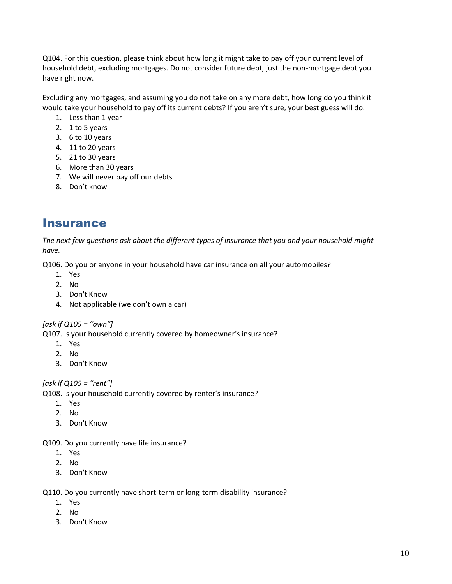Q104. For this question, please think about how long it might take to pay off your current level of household debt, excluding mortgages. Do not consider future debt, just the non-mortgage debt you have right now.

Excluding any mortgages, and assuming you do not take on any more debt, how long do you think it would take your household to pay off its current debts? If you aren't sure, your best guess will do.

- 1. Less than 1 year
- 2. 1 to 5 years
- 3. 6 to 10 years
- 4. 11 to 20 years
- 5. 21 to 30 years
- 6. More than 30 years
- 7. We will never pay off our debts
- 8. Don't know

# **Insurance**

*The next few questions ask about the different types of insurance that you and your household might have.* 

Q106. Do you or anyone in your household have car insurance on all your automobiles?

- 1. Yes
- 2. No
- 3. Don't Know
- 4. Not applicable (we don't own a car)

*[ask if Q105 = "own"]*

Q107. Is your household currently covered by homeowner's insurance?

- 1. Yes
- 2. No
- 3. Don't Know

*[ask if Q105 = "rent"]*

Q108. Is your household currently covered by renter's insurance?

- 1. Yes
- 2. No
- 3. Don't Know

Q109. Do you currently have life insurance?

- 1. Yes
- 2. No
- 3. Don't Know

Q110. Do you currently have short-term or long-term disability insurance?

- 1. Yes
- 2. No
- 3. Don't Know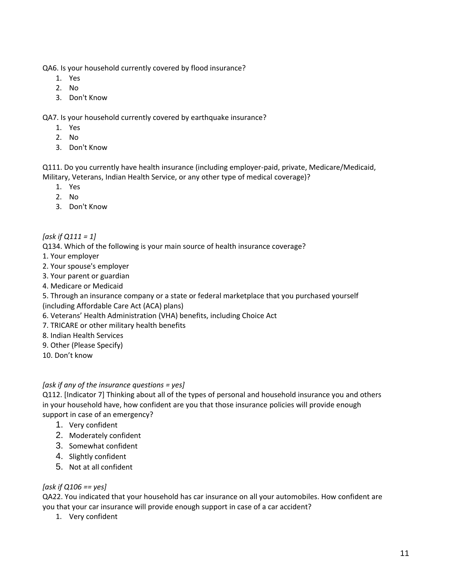QA6. Is your household currently covered by flood insurance?

- 1. Yes
- 2. No
- 3. Don't Know

QA7. Is your household currently covered by earthquake insurance?

- 1. Yes
- 2. No
- 3. Don't Know

Q111. Do you currently have health insurance (including employer-paid, private, Medicare/Medicaid, Military, Veterans, Indian Health Service, or any other type of medical coverage)?

- 1. Yes
- 2. No
- 3. Don't Know
- *[ask if Q111 = 1]*

Q134. Which of the following is your main source of health insurance coverage?

- 1. Your employer
- 2. Your spouse's employer
- 3. Your parent or guardian
- 4. Medicare or Medicaid
- 5. Through an insurance company or a state or federal marketplace that you purchased yourself
- (including Affordable Care Act (ACA) plans)
- 6. Veterans' Health Administration (VHA) benefits, including Choice Act
- 7. TRICARE or other military health benefits
- 8. Indian Health Services
- 9. Other (Please Specify)
- 10. Don't know

#### *[ask if any of the insurance questions = yes]*

Q112. [Indicator 7] Thinking about all of the types of personal and household insurance you and others in your household have, how confident are you that those insurance policies will provide enough support in case of an emergency?

- 1. Very confident
- 2. Moderately confident
- 3. Somewhat confident
- 4. Slightly confident
- 5. Not at all confident

#### *[ask if Q106 == yes]*

QA22. You indicated that your household has car insurance on all your automobiles. How confident are you that your car insurance will provide enough support in case of a car accident?

1. Very confident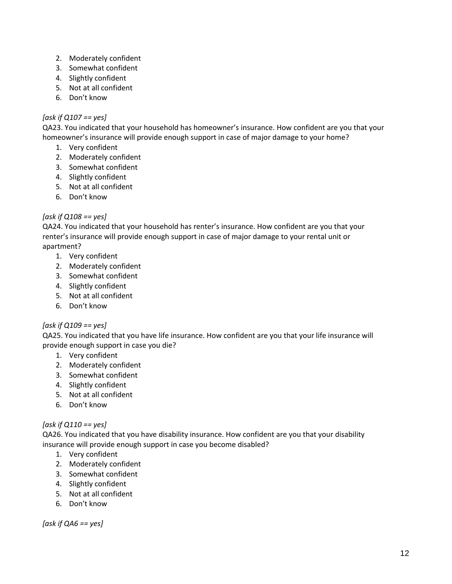- 2. Moderately confident
- 3. Somewhat confident
- 4. Slightly confident
- 5. Not at all confident
- 6. Don't know

### *[ask if Q107 == yes]*

QA23. You indicated that your household has homeowner's insurance. How confident are you that your homeowner's insurance will provide enough support in case of major damage to your home?

- 1. Very confident
- 2. Moderately confident
- 3. Somewhat confident
- 4. Slightly confident
- 5. Not at all confident
- 6. Don't know

## *[ask if Q108 == yes]*

QA24. You indicated that your household has renter's insurance. How confident are you that your renter's insurance will provide enough support in case of major damage to your rental unit or apartment?

- 1. Very confident
- 2. Moderately confident
- 3. Somewhat confident
- 4. Slightly confident
- 5. Not at all confident
- 6. Don't know

#### *[ask if Q109 == yes]*

QA25. You indicated that you have life insurance. How confident are you that your life insurance will provide enough support in case you die?

- 1. Very confident
- 2. Moderately confident
- 3. Somewhat confident
- 4. Slightly confident
- 5. Not at all confident
- 6. Don't know

## *[ask if Q110 == yes]*

QA26. You indicated that you have disability insurance. How confident are you that your disability insurance will provide enough support in case you become disabled?

- 1. Very confident
- 2. Moderately confident
- 3. Somewhat confident
- 4. Slightly confident
- 5. Not at all confident
- 6. Don't know

*[ask if QA6 == yes]*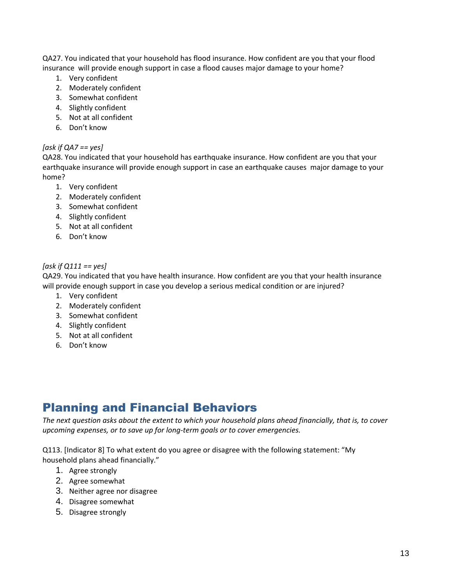QA27. You indicated that your household has flood insurance. How confident are you that your flood insurance will provide enough support in case a flood causes major damage to your home?

- 1. Very confident
- 2. Moderately confident
- 3. Somewhat confident
- 4. Slightly confident
- 5. Not at all confident
- 6. Don't know

#### *[ask if QA7 == yes]*

QA28. You indicated that your household has earthquake insurance. How confident are you that your earthquake insurance will provide enough support in case an earthquake causes major damage to your home?

- 1. Very confident
- 2. Moderately confident
- 3. Somewhat confident
- 4. Slightly confident
- 5. Not at all confident
- 6. Don't know

#### *[ask if Q111 == yes]*

QA29. You indicated that you have health insurance. How confident are you that your health insurance will provide enough support in case you develop a serious medical condition or are injured?

- 1. Very confident
- 2. Moderately confident
- 3. Somewhat confident
- 4. Slightly confident
- 5. Not at all confident
- 6. Don't know

# Planning and Financial Behaviors

*The next question asks about the extent to which your household plans ahead financially, that is, to cover upcoming expenses, or to save up for long-term goals or to cover emergencies.* 

Q113. [Indicator 8] To what extent do you agree or disagree with the following statement: "My household plans ahead financially."

- 1. Agree strongly
- 2. Agree somewhat
- 3. Neither agree nor disagree
- 4. Disagree somewhat
- 5. Disagree strongly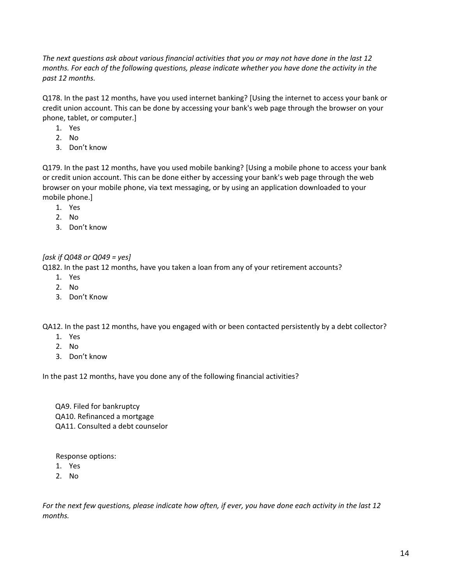*The next questions ask about various financial activities that you or may not have done in the last 12 months. For each of the following questions, please indicate whether you have done the activity in the past 12 months.*

Q178. In the past 12 months, have you used internet banking? [Using the internet to access your bank or credit union account. This can be done by accessing your bank's web page through the browser on your phone, tablet, or computer.]

- 1. Yes
- 2. No
- 3. Don't know

Q179. In the past 12 months, have you used mobile banking? [Using a mobile phone to access your bank or credit union account. This can be done either by accessing your bank's web page through the web browser on your mobile phone, via text messaging, or by using an application downloaded to your mobile phone.]

- 1. Yes
- 2. No
- 3. Don't know

#### *[ask if Q048 or Q049 = yes]*

Q182. In the past 12 months, have you taken a loan from any of your retirement accounts?

- 1. Yes
- 2. No
- 3. Don't Know

QA12. In the past 12 months, have you engaged with or been contacted persistently by a debt collector?

- 1. Yes
- 2. No
- 3. Don't know

In the past 12 months, have you done any of the following financial activities?

 QA9. Filed for bankruptcy QA10. Refinanced a mortgage QA11. Consulted a debt counselor

Response options:

- 1. Yes
- 2. No

*For the next few questions, please indicate how often, if ever, you have done each activity in the last 12 months.*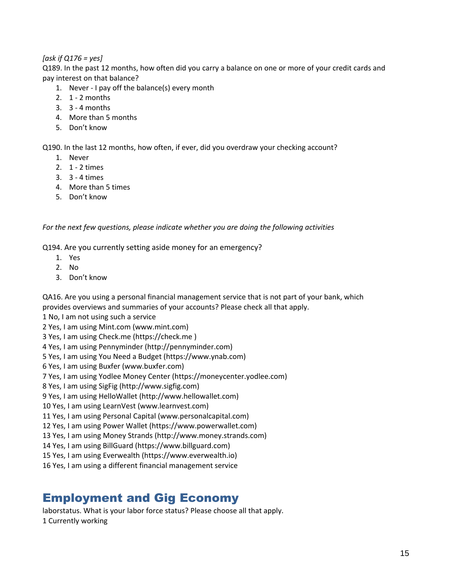#### *[ask if Q176 = yes]*

Q189. In the past 12 months, how often did you carry a balance on one or more of your credit cards and pay interest on that balance?

- 1. Never I pay off the balance(s) every month
- 2. 1 2 months
- 3. 3 4 months
- 4. More than 5 months
- 5. Don't know

Q190. In the last 12 months, how often, if ever, did you overdraw your checking account?

- 1. Never
- 2. 1 2 times
- 3. 3 4 times
- 4. More than 5 times
- 5. Don't know

*For the next few questions, please indicate whether you are doing the following activities*

Q194. Are you currently setting aside money for an emergency?

- 1. Yes
- 2. No
- 3. Don't know

QA16. Are you using a personal financial management service that is not part of your bank, which provides overviews and summaries of your accounts? Please check all that apply.

1 No, I am not using such a service

2 Yes, I am using Mint.com (www.mint.com)

3 Yes, I am using Check.me (https://check.me )

4 Yes, I am using Pennyminder (http://pennyminder.com)

5 Yes, I am using You Need a Budget (https://www.ynab.com)

6 Yes, I am using Buxfer (www.buxfer.com)

7 Yes, I am using Yodlee Money Center (https://moneycenter.yodlee.com)

8 Yes, I am using SigFig (http://www.sigfig.com)

9 Yes, I am using HelloWallet (http://www.hellowallet.com)

10 Yes, I am using LearnVest (www.learnvest.com)

11 Yes, I am using Personal Capital (www.personalcapital.com)

12 Yes, I am using Power Wallet (https://www.powerwallet.com)

13 Yes, I am using Money Strands (http://www.money.strands.com)

14 Yes, I am using BillGuard (https://www.billguard.com)

15 Yes, I am using Everwealth (https://www.everwealth.io)

16 Yes, I am using a different financial management service

# Employment and Gig Economy

laborstatus. What is your labor force status? Please choose all that apply. 1 Currently working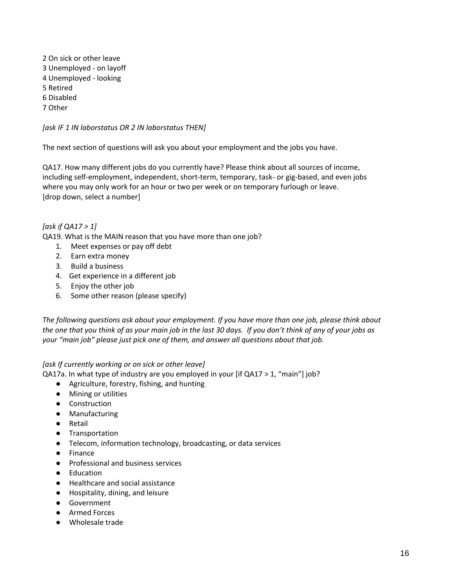2 On sick or other leave 3 Unemployed - on layoff 4 Unemployed - looking 5 Retired 6 Disabled 7 Other

*[ask IF 1 IN laborstatus OR 2 IN laborstatus THEN]*

The next section of questions will ask you about your employment and the jobs you have.

QA17. How many different jobs do you currently have? Please think about all sources of income, including self-employment, independent, short-term, temporary, task- or gig-based, and even jobs where you may only work for an hour or two per week or on temporary furlough or leave. [drop down, select a number]

#### *[ask if QA17 > 1]*

QA19. What is the MAIN reason that you have more than one job?

- 1. Meet expenses or pay off debt
- 2. Earn extra money
- 3. Build a business
- 4. Get experience in a different job
- 5. Enjoy the other job
- 6. Some other reason (please specify)

*The following questions ask about your employment. If you have more than one job, please think about the one that you think of as your main job in the last 30 days. If you don't think of any of your jobs as your "main job" please just pick one of them, and answer all questions about that job.*

#### *[ask If currently working or on sick or other leave]*

QA17a. In what type of industry are you employed in your [if QA17 > 1, "main"] job?

- Agriculture, forestry, fishing, and hunting
- Mining or utilities
- Construction
- Manufacturing
- Retail
- Transportation
- Telecom, information technology, broadcasting, or data services
- Finance
- Professional and business services
- Education
- Healthcare and social assistance
- Hospitality, dining, and leisure
- Government
- Armed Forces
- Wholesale trade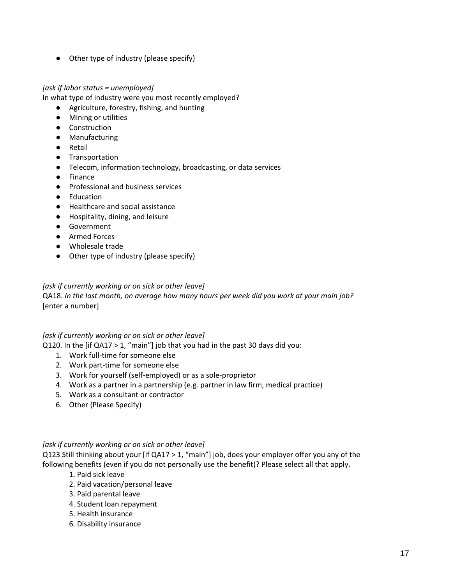● Other type of industry (please specify)

#### *[ask if labor status = unemployed]*

In what type of industry were you most recently employed?

- Agriculture, forestry, fishing, and hunting
- Mining or utilities
- Construction
- Manufacturing
- Retail
- Transportation
- Telecom, information technology, broadcasting, or data services
- Finance
- Professional and business services
- Education
- Healthcare and social assistance
- Hospitality, dining, and leisure
- Government
- Armed Forces
- Wholesale trade
- Other type of industry (please specify)

#### *[ask if currently working or on sick or other leave]*

QA18. *In the last month, on average how many hours per week did you work at your main job?* [enter a number]

#### *[ask if currently working or on sick or other leave]*

Q120. In the [if QA17 > 1, "main"] job that you had in the past 30 days did you:

- 1. Work full-time for someone else
- 2. Work part-time for someone else
- 3. Work for yourself (self-employed) or as a sole-proprietor
- 4. Work as a partner in a partnership (e.g. partner in law firm, medical practice)
- 5. Work as a consultant or contractor
- 6. Other (Please Specify)

#### *[ask if currently working or on sick or other leave]*

Q123 Still thinking about your [if QA17 > 1, "main"] job, does your employer offer you any of the following benefits (even if you do not personally use the benefit)? Please select all that apply.

- 1. Paid sick leave
- 2. Paid vacation/personal leave
- 3. Paid parental leave
- 4. Student loan repayment
- 5. Health insurance
- 6. Disability insurance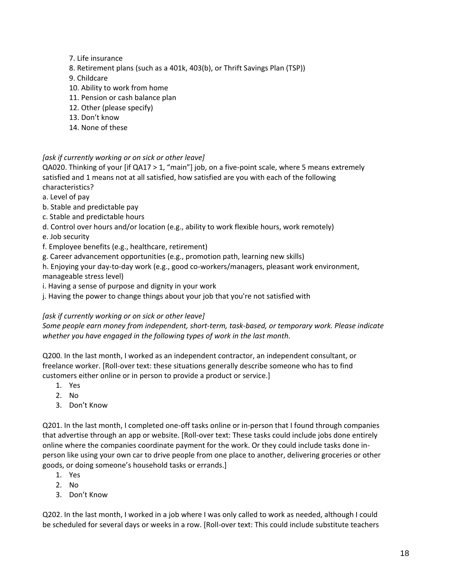- 7. Life insurance
- 8. Retirement plans (such as a 401k, 403(b), or Thrift Savings Plan (TSP))
- 9. Childcare
- 10. Ability to work from home
- 11. Pension or cash balance plan
- 12. Other (please specify)
- 13. Don't know
- 14. None of these

#### *[ask if currently working or on sick or other leave]*

QA020. Thinking of your [if QA17 > 1, "main"] job, on a five-point scale, where 5 means extremely satisfied and 1 means not at all satisfied, how satisfied are you with each of the following characteristics?

- a. Level of pay
- b. Stable and predictable pay
- c. Stable and predictable hours
- d. Control over hours and/or location (e.g., ability to work flexible hours, work remotely)
- e. Job security
- f. Employee benefits (e.g., healthcare, retirement)
- g. Career advancement opportunities (e.g., promotion path, learning new skills)

h. Enjoying your day-to-day work (e.g., good co-workers/managers, pleasant work environment, manageable stress level)

- i. Having a sense of purpose and dignity in your work
- j. Having the power to change things about your job that you're not satisfied with

#### *[ask if currently working or on sick or other leave]*

*Some people earn money from independent, short-term, task-based, or temporary work. Please indicate whether you have engaged in the following types of work in the last month.*

Q200. In the last month, I worked as an independent contractor, an independent consultant, or freelance worker. [Roll-over text: these situations generally describe someone who has to find customers either online or in person to provide a product or service.]

- 1. Yes
- 2. No
- 3. Don't Know

Q201. In the last month, I completed one-off tasks online or in-person that I found through companies that advertise through an app or website. [Roll-over text: These tasks could include jobs done entirely online where the companies coordinate payment for the work. Or they could include tasks done inperson like using your own car to drive people from one place to another, delivering groceries or other goods, or doing someone's household tasks or errands.]

- 1. Yes
- 2. No
- 3. Don't Know

Q202. In the last month, I worked in a job where I was only called to work as needed, although I could be scheduled for several days or weeks in a row. [Roll-over text: This could include substitute teachers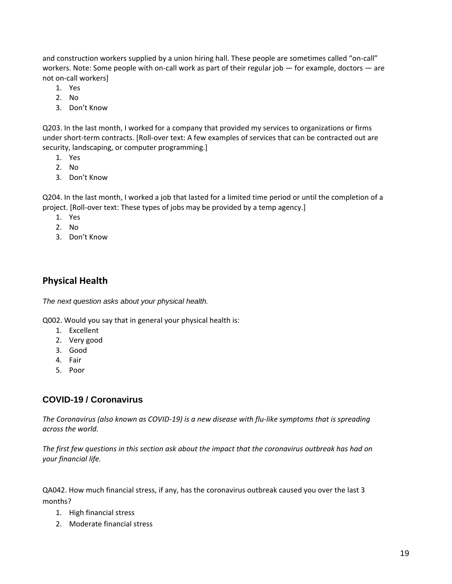and construction workers supplied by a union hiring hall. These people are sometimes called "on-call" workers. Note: Some people with on-call work as part of their regular job — for example, doctors — are not on-call workers]

- 1. Yes
- 2. No
- 3. Don't Know

Q203. In the last month, I worked for a company that provided my services to organizations or firms under short-term contracts. [Roll-over text: A few examples of services that can be contracted out are security, landscaping, or computer programming.]

- 1. Yes
- 2. No
- 3. Don't Know

Q204. In the last month, I worked a job that lasted for a limited time period or until the completion of a project. [Roll-over text: These types of jobs may be provided by a temp agency.]

- 1. Yes
- 2. No
- 3. Don't Know

# **Physical Health**

*The next question asks about your physical health.*

Q002. Would you say that in general your physical health is:

- 1. Excellent
- 2. Very good
- 3. Good
- 4. Fair
- 5. Poor

## **COVID-19 / Coronavirus**

*The Coronavirus (also known as COVID-19) is a new disease with flu-like symptoms that is spreading across the world.* 

*The first few questions in this section ask about the impact that the coronavirus outbreak has had on your financial life.* 

QA042. How much financial stress, if any, has the coronavirus outbreak caused you over the last 3 months?

- 1. High financial stress
- 2. Moderate financial stress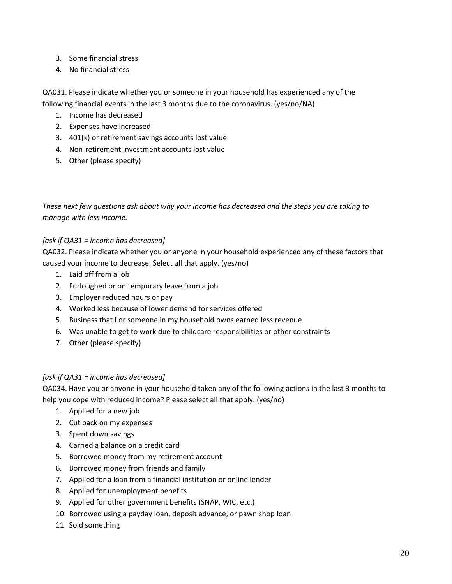- 3. Some financial stress
- 4. No financial stress

QA031. Please indicate whether you or someone in your household has experienced any of the following financial events in the last 3 months due to the coronavirus. (yes/no/NA)

- 1. Income has decreased
- 2. Expenses have increased
- 3. 401(k) or retirement savings accounts lost value
- 4. Non-retirement investment accounts lost value
- 5. Other (please specify)

*These next few questions ask about why your income has decreased and the steps you are taking to manage with less income.*

#### *[ask if QA31 = income has decreased]*

QA032. Please indicate whether you or anyone in your household experienced any of these factors that caused your income to decrease. Select all that apply. (yes/no)

- 1. Laid off from a job
- 2. Furloughed or on temporary leave from a job
- 3. Employer reduced hours or pay
- 4. Worked less because of lower demand for services offered
- 5. Business that I or someone in my household owns earned less revenue
- 6. Was unable to get to work due to childcare responsibilities or other constraints
- 7. Other (please specify)

#### *[ask if QA31 = income has decreased]*

QA034. Have you or anyone in your household taken any of the following actions in the last 3 months to help you cope with reduced income? Please select all that apply. (yes/no)

- 1. Applied for a new job
- 2. Cut back on my expenses
- 3. Spent down savings
- 4. Carried a balance on a credit card
- 5. Borrowed money from my retirement account
- 6. Borrowed money from friends and family
- 7. Applied for a loan from a financial institution or online lender
- 8. Applied for unemployment benefits
- 9. Applied for other government benefits (SNAP, WIC, etc.)
- 10. Borrowed using a payday loan, deposit advance, or pawn shop loan
- 11. Sold something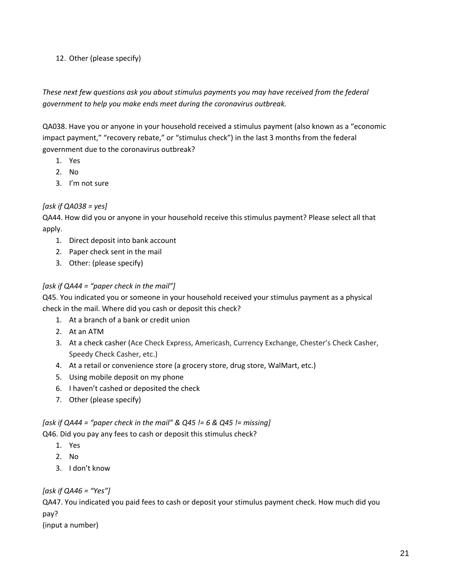### 12. Other (please specify)

## *These next few questions ask you about stimulus payments you may have received from the federal government to help you make ends meet during the coronavirus outbreak.*

QA038. Have you or anyone in your household received a stimulus payment (also known as a "economic impact payment," "recovery rebate," or "stimulus check") in the last 3 months from the federal government due to the coronavirus outbreak?

- 1. Yes
- 2. No
- 3. I'm not sure

## *[ask if QA038 = yes]*

QA44. How did you or anyone in your household receive this stimulus payment? Please select all that apply.

- 1. Direct deposit into bank account
- 2. Paper check sent in the mail
- 3. Other: (please specify)

## *[ask if QA44 = "paper check in the mail"]*

Q45. You indicated you or someone in your household received your stimulus payment as a physical check in the mail. Where did you cash or deposit this check?

- 1. At a branch of a bank or credit union
- 2. At an ATM
- 3. At a check casher (Ace Check Express, Americash, Currency Exchange, Chester's Check Casher, Speedy Check Casher, etc.)
- 4. At a retail or convenience store (a grocery store, drug store, WalMart, etc.)
- 5. Using mobile deposit on my phone
- 6. I haven't cashed or deposited the check
- 7. Other (please specify)

#### *[ask if QA44 = "paper check in the mail" & Q45 != 6 & Q45 != missing]* Q46. Did you pay any fees to cash or deposit this stimulus check?

- 1. Yes
- 2. No
- 3. I don't know

*[ask if QA46 = "Yes"]*

QA47. You indicated you paid fees to cash or deposit your stimulus payment check. How much did you pay?

(input a number)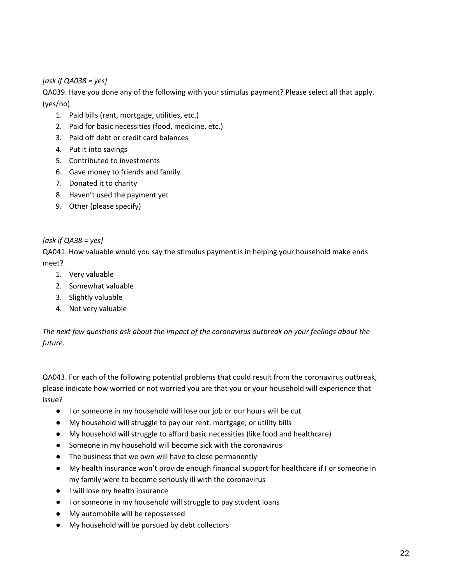### *[ask if QA038 = yes]*

QA039. Have you done any of the following with your stimulus payment? Please select all that apply. (yes/no)

- 1. Paid bills (rent, mortgage, utilities, etc.)
- 2. Paid for basic necessities (food, medicine, etc.)
- 3. Paid off debt or credit card balances
- 4. Put it into savings
- 5. Contributed to investments
- 6. Gave money to friends and family
- 7. Donated it to charity
- 8. Haven't used the payment yet
- 9. Other (please specify)

#### *[ask if QA38 = yes]*

QA041. How valuable would you say the stimulus payment is in helping your household make ends meet?

- 1. Very valuable
- 2. Somewhat valuable
- 3. Slightly valuable
- 4. Not very valuable

*The next few questions ask about the impact of the coronavirus outbreak on your feelings about the future.*

QA043. For each of the following potential problems that could result from the coronavirus outbreak, please indicate how worried or not worried you are that you or your household will experience that issue?

- I or someone in my household will lose our job or our hours will be cut
- My household will struggle to pay our rent, mortgage, or utility bills
- My household will struggle to afford basic necessities (like food and healthcare)
- Someone in my household will become sick with the coronavirus
- The business that we own will have to close permanently
- My health insurance won't provide enough financial support for healthcare if I or someone in my family were to become seriously ill with the coronavirus
- I will lose my health insurance
- I or someone in my household will struggle to pay student loans
- My automobile will be repossessed
- My household will be pursued by debt collectors